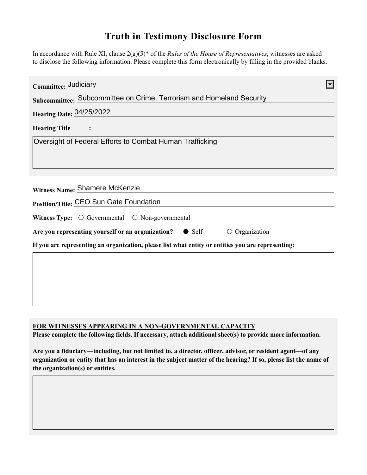## **Truth in Testimony Disclosure Form**

In accordance with Rule XI, clause 2(g)(5)\* of the *Rules of the House of Representatives*, witnesses are asked to disclose the following information. Please complete this form electronically by filling in the provided blanks.

| Committee: Judiciary                                                                               |  |
|----------------------------------------------------------------------------------------------------|--|
| Subcommittee: Subcommittee on Crime, Terrorism and Homeland Security                               |  |
| <b>Hearing Date: 04/25/2022</b>                                                                    |  |
| <b>Hearing Title</b>                                                                               |  |
| Oversight of Federal Efforts to Combat Human Trafficking                                           |  |
|                                                                                                    |  |
|                                                                                                    |  |
| Witness Name: Shamere McKenzie                                                                     |  |
| Position/Title: CEO Sun Gate Foundation                                                            |  |
| Witness Type: $\bigcirc$ Governmental $\bigcirc$ Non-governmental                                  |  |
| Are you representing yourself or an organization? • Self<br>$\circ$ Organization                   |  |
| If you are representing an organization, please list what entity or entities you are representing: |  |
|                                                                                                    |  |
|                                                                                                    |  |
|                                                                                                    |  |
|                                                                                                    |  |

## **FOR WITNESSES APPEARING IN A NON-GOVERNMENTAL CAPACITY**

**Please complete the following fields. If necessary, attach additional sheet(s) to provide more information.**

**Are you a fiduciary—including, but not limited to, a director, officer, advisor, or resident agent—of any organization or entity that has an interest in the subject matter of the hearing? If so, please list the name of the organization(s) or entities.**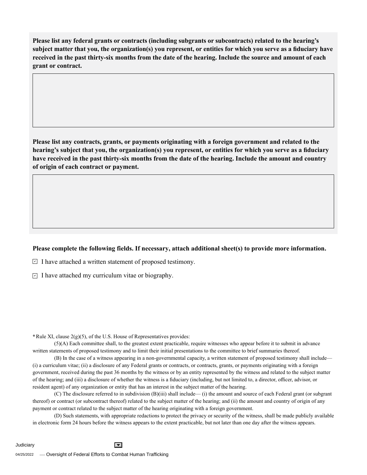**Please list any federal grants or contracts (including subgrants or subcontracts) related to the hearing's subject matter that you, the organization(s) you represent, or entities for which you serve as a fiduciary have received in the past thirty-six months from the date of the hearing. Include the source and amount of each grant or contract.** 

**Please list any contracts, grants, or payments originating with a foreign government and related to the hearing's subject that you, the organization(s) you represent, or entities for which you serve as a fiduciary have received in the past thirty-six months from the date of the hearing. Include the amount and country of origin of each contract or payment.** 

## **Please complete the following fields. If necessary, attach additional sheet(s) to provide more information.**

 $\exists$  I have attached a written statement of proposed testimony.

 $\subseteq$  I have attached my curriculum vitae or biography.

**\***Rule XI, clause 2(g)(5), of the U.S. House of Representatives provides:

(5)(A) Each committee shall, to the greatest extent practicable, require witnesses who appear before it to submit in advance written statements of proposed testimony and to limit their initial presentations to the committee to brief summaries thereof.

(B) In the case of a witness appearing in a non-governmental capacity, a written statement of proposed testimony shall include— (i) a curriculum vitae; (ii) a disclosure of any Federal grants or contracts, or contracts, grants, or payments originating with a foreign government, received during the past 36 months by the witness or by an entity represented by the witness and related to the subject matter of the hearing; and (iii) a disclosure of whether the witness is a fiduciary (including, but not limited to, a director, officer, advisor, or resident agent) of any organization or entity that has an interest in the subject matter of the hearing.

(C) The disclosure referred to in subdivision (B)(iii) shall include— (i) the amount and source of each Federal grant (or subgrant thereof) or contract (or subcontract thereof) related to the subject matter of the hearing; and (ii) the amount and country of origin of any payment or contract related to the subject matter of the hearing originating with a foreign government.

(D) Such statements, with appropriate redactions to protect the privacy or security of the witness, shall be made publicly available in electronic form 24 hours before the witness appears to the extent practicable, but not later than one day after the witness appears.